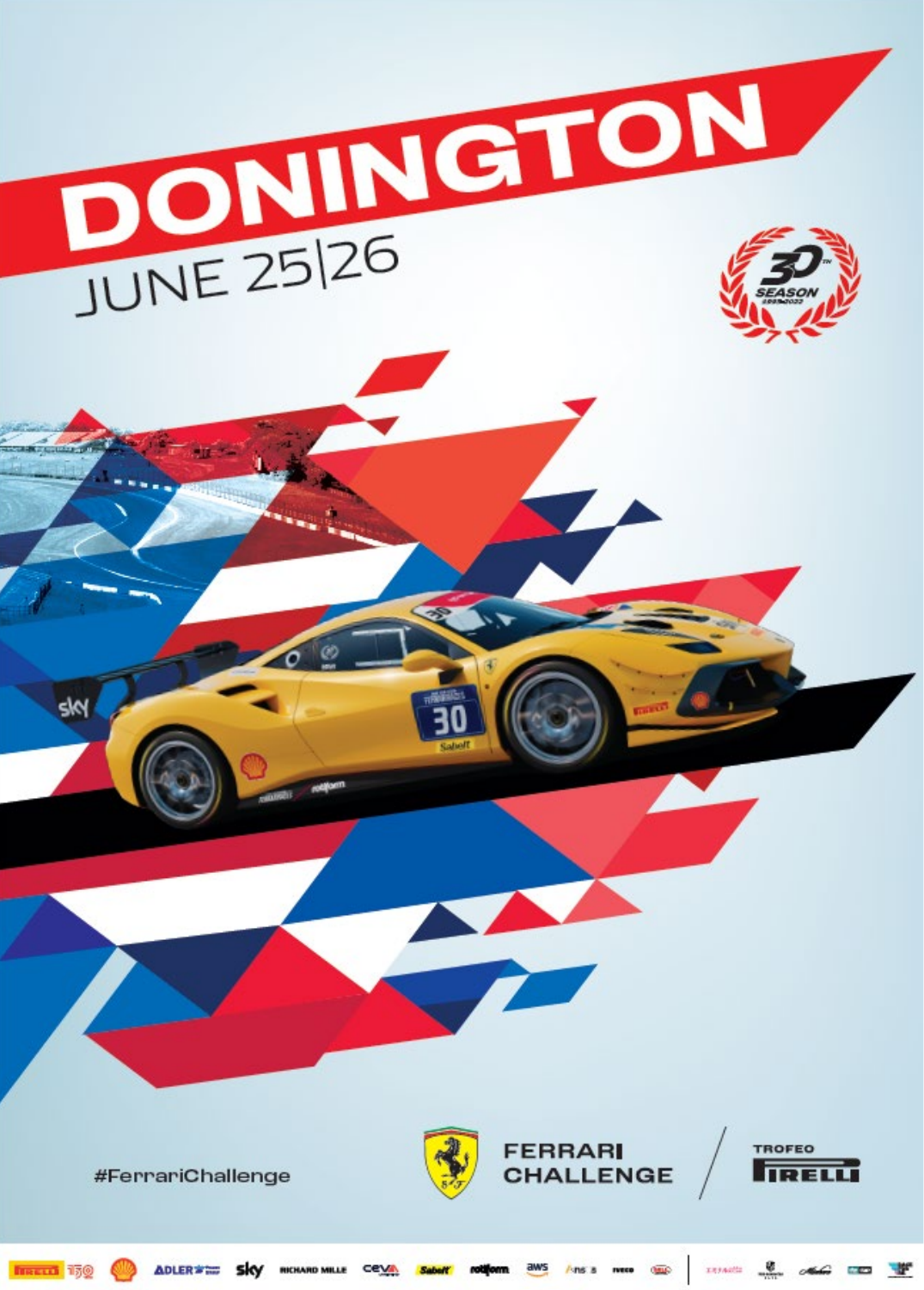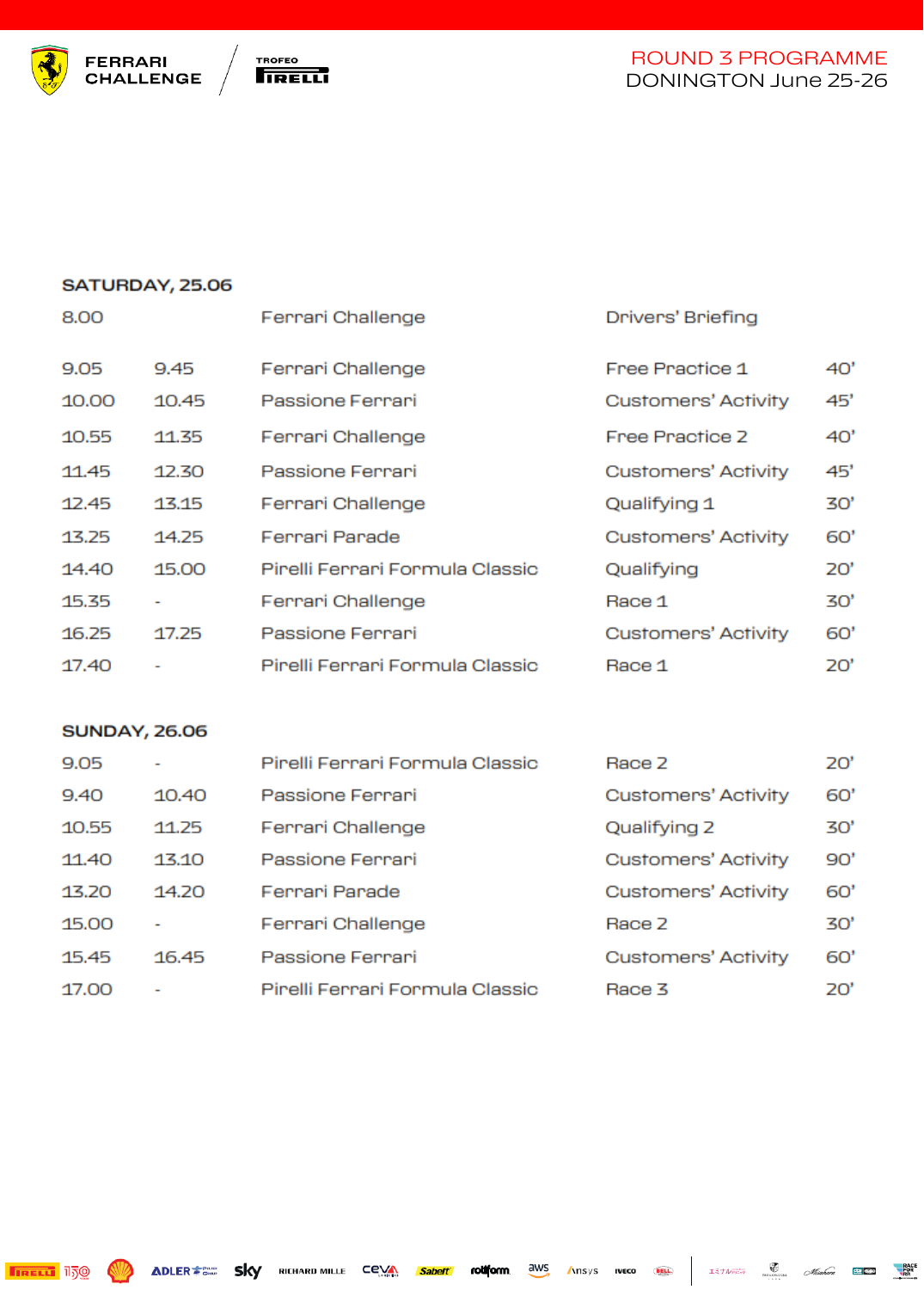



#### SATURDAY, 25.06

| 8.00  |       | Ferrari Challenge               | Drivers' Briefing          |     |
|-------|-------|---------------------------------|----------------------------|-----|
| 9.05  | 9.45  | Ferrari Challenge               | Free Practice 1            | 40' |
| 10.00 | 10.45 | Passione Ferrari                | <b>Customers' Activity</b> | 45' |
| 10.55 | 11.35 | Ferrari Challenge               | Free Practice 2            | 40' |
| 11.45 | 12.30 | Passione Ferrari                | <b>Customers' Activity</b> | 45' |
| 12.45 | 13.15 | Ferrari Challenge               | Qualifying 1               | 30' |
| 13.25 | 14.25 | Ferrari Parade                  | <b>Customers' Activity</b> | 60' |
| 14.40 | 15.00 | Pirelli Ferrari Formula Classic | Qualifying                 | 20' |
| 15.35 |       | Ferrari Challenge               | Race 1                     | 30' |
| 16.25 | 17.25 | Passione Ferrari                | <b>Customers' Activity</b> | 60' |
| 17.40 |       | Pirelli Ferrari Formula Classic | Race 1                     | 20' |

#### **SUNDAY, 26.06**

| 9.05  |       | Pirelli Ferrari Formula Classic | Race 2                     | 20' |
|-------|-------|---------------------------------|----------------------------|-----|
| 9.40  | 10.40 | Passione Ferrari                | <b>Customers' Activity</b> | 60' |
| 10.55 | 11.25 | Ferrari Challenge               | Qualifying 2               | 30' |
| 11.40 | 13.10 | Passione Ferrari                | <b>Customers' Activity</b> | 90' |
| 13.20 | 14.20 | Ferrari Parade                  | <b>Customers' Activity</b> | 60' |
| 15.00 |       | Ferrari Challenge               | Race 2                     | 30' |
| 15.45 | 16.45 | Passione Ferrari                | <b>Customers' Activity</b> | 60' |
| 17.00 |       | Pirelli Ferrari Formula Classic | Race 3                     | 20' |

 $\mathcal{I} \exists \mathcal{I} \mathcal{W}_{\mathcal{I} \rightarrow \mathcal{I}}^{\text{max}}$   $\mathcal{M}_{\text{Euler}}^{\text{max}}$   $\mathcal{M}_{\text{Euler}}^{\text{max}}$   $\mathcal{M}_{\text{Euler}}^{\text{max}}$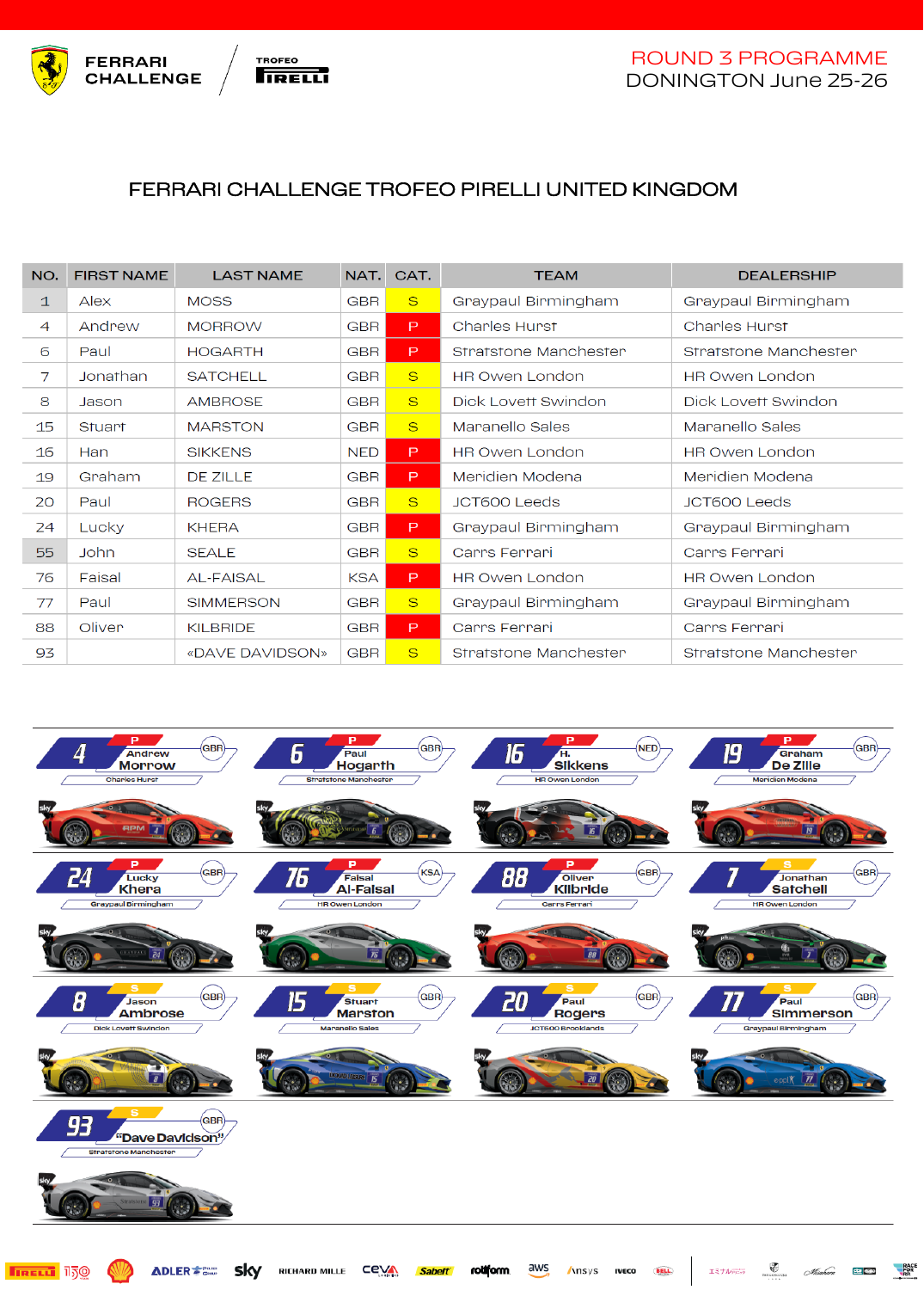



## FERRARI CHALLENGE TROFEO PIRELLI UNITED KINGDOM

| NO.            | <b>FIRST NAME</b> | <b>LAST NAME</b> | NAT.             | CAT.         | <b>TEAM</b>           | <b>DEALERSHIP</b>     |
|----------------|-------------------|------------------|------------------|--------------|-----------------------|-----------------------|
| $\mathbf{1}$   | Alex              | <b>MOSS</b>      | <b>GBR</b>       | S            | Graypaul Birmingham   | Graypaul Birmingham   |
| $\overline{4}$ | Andrew            | <b>MORROW</b>    | GBR <sup>1</sup> | P            | <b>Charles Hurst</b>  | <b>Charles Hurst</b>  |
| 6              | Paul              | <b>HOGARTH</b>   | <b>GBR</b>       | P            | Stratstone Manchester | Stratstone Manchester |
| 7              | Jonathan          | <b>SATCHELL</b>  | <b>GBR</b>       | S            | <b>HR Owen London</b> | <b>HR Owen London</b> |
| 8              | Jason             | <b>AMBROSE</b>   | <b>GBR</b>       | <sub>S</sub> | Dick Lovett Swindon   | Dick Lovett Swindon   |
| 15             | Stuart            | <b>MARSTON</b>   | <b>GBR</b>       | S            | Maranello Sales       | Maranello Sales       |
| 16             | Han               | <b>SIKKENS</b>   | <b>NED</b>       | P.           | <b>HR Owen London</b> | <b>HR Owen London</b> |
| 19             | Graham            | DE ZILLE         | GBR <sup>1</sup> | P            | Meridien Modena       | Meridien Modena       |
| 20             | Paul              | <b>ROGERS</b>    | <b>GBR</b>       | <sub>S</sub> | <b>JCT600 Leeds</b>   | JCT600 Leeds          |
| 24             | Lucky             | <b>KHERA</b>     | GBR              | P.           | Graypaul Birmingham   | Graypaul Birmingham   |
| 55             | John              | <b>SEALE</b>     | <b>GBR</b>       | S            | Carrs Ferrari         | Carrs Ferrari         |
| 76             | Faisal            | <b>AL-FAISAL</b> | <b>KSA</b>       | P            | <b>HR Owen London</b> | <b>HR Owen London</b> |
| 77             | Paul              | <b>SIMMERSON</b> | <b>GBR</b>       | S            | Graypaul Birmingham   | Graypaul Birmingham   |
| 88             | Oliver            | <b>KILBRIDE</b>  | <b>GBR</b>       | P            | Carrs Ferrari         | Carrs Ferrari         |
| 93             |                   | «DAVE DAVIDSON»  | <b>GBR</b>       | S            | Stratstone Manchester | Stratstone Manchester |



**RACE**<br>RDR she dillo

 $\bigotimes$ 

Misahara

エミナルデザラ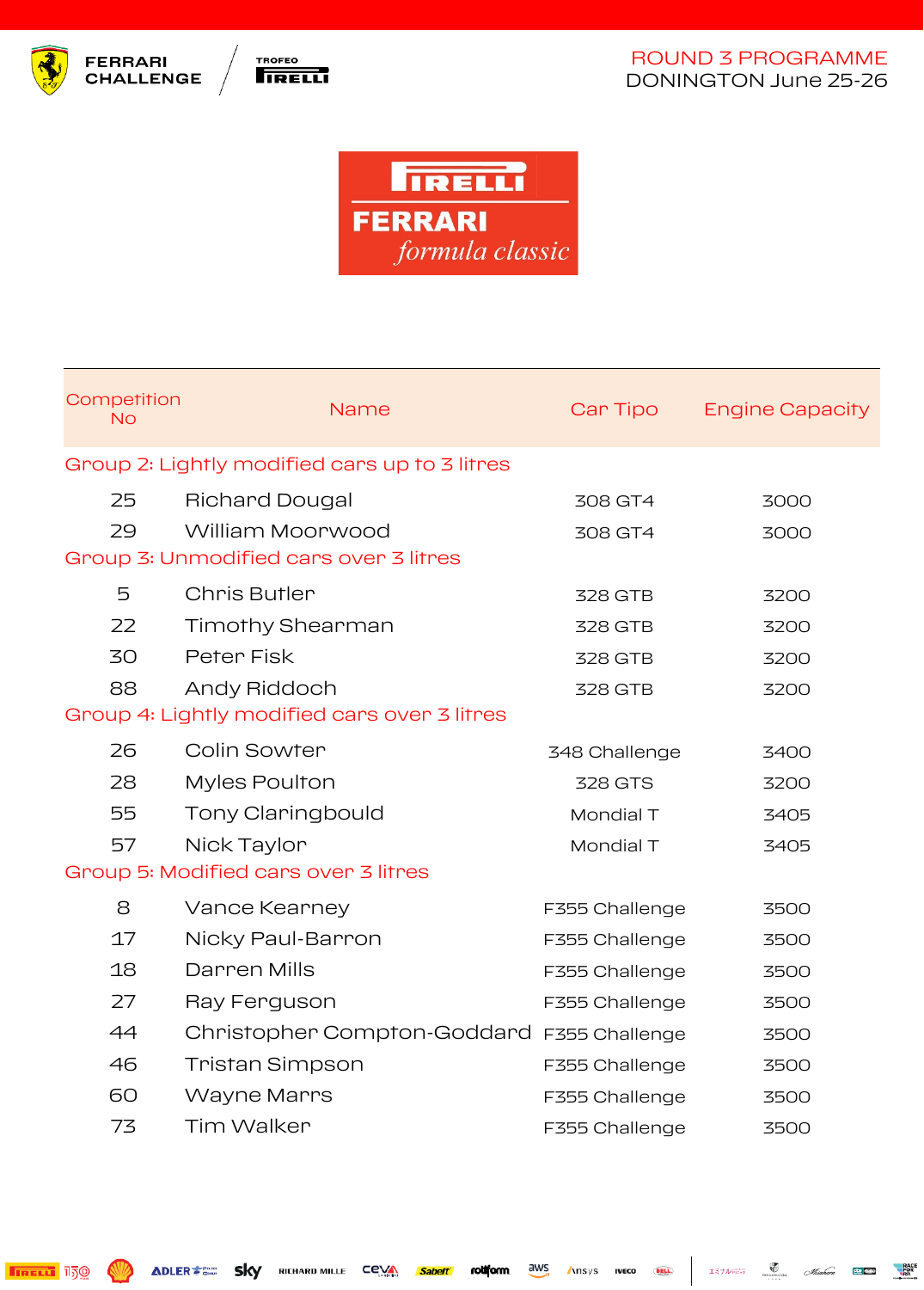





| Competition<br><b>No</b>                     |  | <b>Name</b>                                   | Car Tipo       | <b>Engine Capacity</b> |  |
|----------------------------------------------|--|-----------------------------------------------|----------------|------------------------|--|
|                                              |  | Group 2: Lightly modified cars up to 3 litres |                |                        |  |
| 25                                           |  | <b>Richard Dougal</b>                         | 308 GT4        | 3000                   |  |
| 29                                           |  | William Moorwood                              | 308 GT4        | 3000                   |  |
| Group 3: Unmodified cars over 3 litres       |  |                                               |                |                        |  |
| 5                                            |  | Chris Butler                                  | 328 GTB        | 3200                   |  |
| 22                                           |  | <b>Timothy Shearman</b>                       | 328 GTB        | 3200                   |  |
| 30                                           |  | Peter Fisk                                    | 328 GTB        | 3200                   |  |
| 88                                           |  | Andy Riddoch                                  | 328 GTB        | 3200                   |  |
| Group 4: Lightly modified cars over 3 litres |  |                                               |                |                        |  |
| 26                                           |  | Colin Sowter                                  | 348 Challenge  | 3400                   |  |
| 28                                           |  | <b>Myles Poulton</b>                          | <b>328 GTS</b> | 3200                   |  |
| 55                                           |  | Tony Claringbould                             | Mondial T      | 3405                   |  |
| 57                                           |  | Nick Taylor                                   | Mondial T      | 3405                   |  |
|                                              |  | Group 5: Modified cars over 3 litres          |                |                        |  |
| 8                                            |  | Vance Kearney                                 | F355 Challenge | 3500                   |  |
| 17                                           |  | Nicky Paul-Barron                             | F355 Challenge | 3500                   |  |
| 18                                           |  | Darren Mills                                  | F355 Challenge | 3500                   |  |
| 27                                           |  | Ray Ferguson                                  | F355 Challenge | 3500                   |  |
| 44                                           |  | Christopher Compton-Goddard F355 Challenge    |                | 3500                   |  |
| 46                                           |  | <b>Tristan Simpson</b>                        | F355 Challenge | 3500                   |  |
| 60                                           |  | <b>Wayne Marrs</b>                            | F355 Challenge | 3500                   |  |
| 73                                           |  | <b>Tim Walker</b>                             | F355 Challenge | 3500                   |  |

**TIRELLI** 150 **W** ADLER **FROM SKY** RICHARD MILLE COVA Sabelt rollow aws Ansys IVECO

**BELL** 

 $I\geq 1/\sqrt{\frac{1}{\sqrt{2}}}}$   $\frac{1}{\sqrt{\frac{1}{\sqrt{2}}}}$   $\frac{1}{\sqrt{\frac{1}{\sqrt{2}}}}$   $\frac{1}{\sqrt{\frac{1}{\sqrt{2}}}}$   $\frac{1}{\sqrt{\frac{1}{\sqrt{2}}}}$   $\frac{1}{\sqrt{\frac{1}{\sqrt{2}}}}$   $\frac{1}{\sqrt{\frac{1}{\sqrt{2}}}}$   $\frac{1}{\sqrt{\frac{1}{\sqrt{2}}}}$   $\frac{1}{\sqrt{\frac{1}{\sqrt{2}}}}$   $\frac{1}{\sqrt{\frac{1}{\sqrt{2}}}}$   $\frac{1}{\sqrt{\frac$